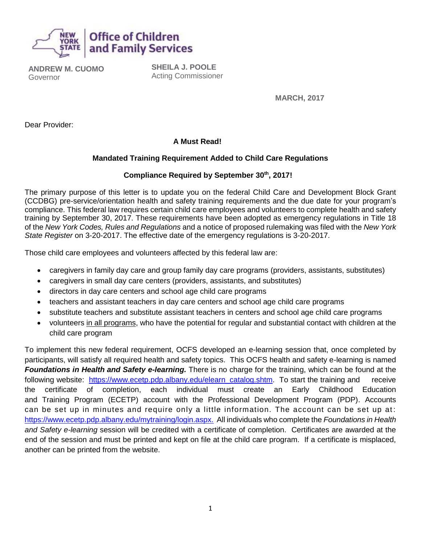

**ANDREW M. CUOMO** Governor

**SHEILA J. POOLE** Acting Commissioner

**MARCH, 2017**

Dear Provider:

## **A Must Read!**

#### **Mandated Training Requirement Added to Child Care Regulations**

#### **Compliance Required by September 30th , 2017!**

The primary purpose of this letter is to update you on the federal Child Care and Development Block Grant (CCDBG) pre-service/orientation health and safety training requirements and the due date for your program's compliance. This federal law requires certain child care employees and volunteers to complete health and safety training by September 30, 2017. These requirements have been adopted as emergency regulations in Title 18 of the *New York Codes, Rules and Regulations* and a notice of proposed rulemaking was filed with the *New York State Register* on 3-20-2017. The effective date of the emergency regulations is 3-20-2017.

Those child care employees and volunteers affected by this federal law are:

- caregivers in family day care and group family day care programs (providers, assistants, substitutes)
- caregivers in small day care centers (providers, assistants, and substitutes)
- directors in day care centers and school age child care programs
- teachers and assistant teachers in day care centers and school age child care programs
- substitute teachers and substitute assistant teachers in centers and school age child care programs
- volunteers in all programs, who have the potential for regular and substantial contact with children at the child care program

To implement this new federal requirement, OCFS developed an e-learning session that, once completed by participants, will satisfy all required health and safety topics. This OCFS health and safety e-learning is named *Foundations in Health and Safety e-learning.* There is no charge for the training, which can be found at the following website: [https://www.ecetp.pdp.albany.edu/elearn\\_catalog.shtm.](https://www.ecetp.pdp.albany.edu/elearn_catalog.shtm) To start the training and receive the certificate of completion, each individual must create an Early Childhood Education and Training Program (ECETP) account with the Professional Development Program (PDP). Accounts can be set up in minutes and require only a little information. The account can be set up at : [https://www.ecetp.pdp.albany.edu/mytraining/login.aspx.](https://www.ecetp.pdp.albany.edu/mytraining/login.aspx) All individuals who complete the *Foundations in Health and Safety e-learning* session will be credited with a certificate of completion. Certificates are awarded at the end of the session and must be printed and kept on file at the child care program. If a certificate is misplaced, another can be printed from the website.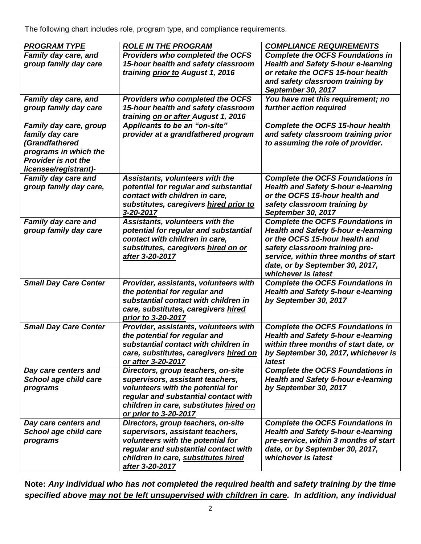The following chart includes role, program type, and compliance requirements.

| <b>PROGRAM TYPE</b>                           | <b>ROLE IN THE PROGRAM</b>                                             | <b>COMPLIANCE REQUIREMENTS</b>                |
|-----------------------------------------------|------------------------------------------------------------------------|-----------------------------------------------|
| Family day care, and                          | Providers who completed the OCFS                                       | <b>Complete the OCFS Foundations in</b>       |
| group family day care                         | 15-hour health and safety classroom                                    | <b>Health and Safety 5-hour e-learning</b>    |
|                                               | training prior to August 1, 2016                                       | or retake the OCFS 15-hour health             |
|                                               |                                                                        | and safety classroom training by              |
|                                               |                                                                        | <b>September 30, 2017</b>                     |
| Family day care, and                          | Providers who completed the OCFS                                       | You have met this requirement; no             |
| group family day care                         | 15-hour health and safety classroom                                    | further action required                       |
|                                               | training on or after August 1, 2016                                    |                                               |
| Family day care, group                        | Applicants to be an "on-site"                                          | <b>Complete the OCFS 15-hour health</b>       |
| family day care                               | provider at a grandfathered program                                    | and safety classroom training prior           |
| (Grandfathered                                |                                                                        | to assuming the role of provider.             |
| programs in which the                         |                                                                        |                                               |
| <b>Provider is not the</b>                    |                                                                        |                                               |
| licensee/registrant)-                         |                                                                        |                                               |
| Family day care and                           | Assistants, volunteers with the                                        | <b>Complete the OCFS Foundations in</b>       |
| group family day care,                        | potential for regular and substantial                                  | <b>Health and Safety 5-hour e-learning</b>    |
|                                               | contact with children in care,                                         | or the OCFS 15-hour health and                |
|                                               | substitutes, caregivers hired prior to                                 | safety classroom training by                  |
|                                               | 3-20-2017                                                              | September 30, 2017                            |
| Family day care and                           | Assistants, volunteers with the                                        | <b>Complete the OCFS Foundations in</b>       |
| group family day care                         | potential for regular and substantial                                  | <b>Health and Safety 5-hour e-learning</b>    |
|                                               | contact with children in care,                                         | or the OCFS 15-hour health and                |
|                                               | substitutes, caregivers hired on or                                    | safety classroom training pre-                |
|                                               | after 3-20-2017                                                        | service, within three months of start         |
|                                               |                                                                        | date, or by September 30, 2017,               |
|                                               |                                                                        | whichever is latest                           |
| <b>Small Day Care Center</b>                  | Provider, assistants, volunteers with                                  | <b>Complete the OCFS Foundations in</b>       |
|                                               | the potential for regular and                                          | <b>Health and Safety 5-hour e-learning</b>    |
|                                               | substantial contact with children in                                   | by September 30, 2017                         |
|                                               | care, substitutes, caregivers hired                                    |                                               |
|                                               | prior to 3-20-2017                                                     |                                               |
| <b>Small Day Care Center</b>                  | Provider, assistants, volunteers with                                  | <b>Complete the OCFS Foundations in</b>       |
|                                               | the potential for regular and<br>substantial contact with children in  | <b>Health and Safety 5-hour e-learning</b>    |
|                                               |                                                                        | within three months of start date, or         |
|                                               | care, substitutes, caregivers hired on<br>or after 3-20-2017           | by September 30, 2017, whichever is<br>latest |
|                                               |                                                                        | <b>Complete the OCFS Foundations in</b>       |
| Day care centers and<br>School age child care | Directors, group teachers, on-site<br>supervisors, assistant teachers, | <b>Health and Safety 5-hour e-learning</b>    |
| programs                                      | volunteers with the potential for                                      | by September 30, 2017                         |
|                                               | regular and substantial contact with                                   |                                               |
|                                               | children in care, substitutes hired on                                 |                                               |
|                                               | or prior to 3-20-2017                                                  |                                               |
| Day care centers and                          | Directors, group teachers, on-site                                     | <b>Complete the OCFS Foundations in</b>       |
| School age child care                         | supervisors, assistant teachers,                                       | <b>Health and Safety 5-hour e-learning</b>    |
| programs                                      | volunteers with the potential for                                      | pre-service, within 3 months of start         |
|                                               | regular and substantial contact with                                   | date, or by September 30, 2017,               |
|                                               | children in care, substitutes hired                                    | whichever is latest                           |
|                                               | after 3-20-2017                                                        |                                               |
|                                               |                                                                        |                                               |

**Note:** *Any individual who has not completed the required health and safety training by the time specified above may not be left unsupervised with children in care. In addition, any individual*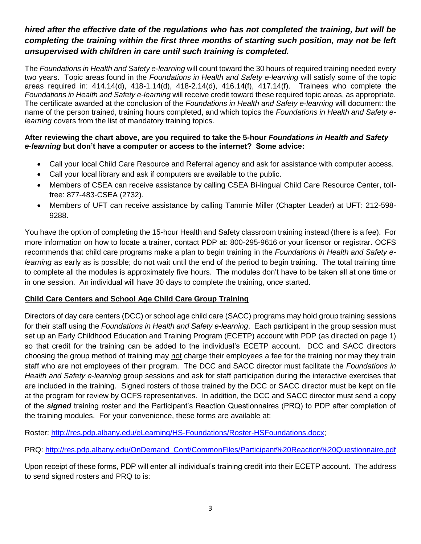## *hired after the effective date of the regulations who has not completed the training, but will be completing the training within the first three months of starting such position, may not be left unsupervised with children in care until such training is completed.*

The *Foundations in Health and Safety e-learning* will count toward the 30 hours of required training needed every two years. Topic areas found in the *Foundations in Health and Safety e-learning* will satisfy some of the topic areas required in: 414.14(d), 418-1.14(d), 418-2.14(d), 416.14(f), 417.14(f). Trainees who complete the *Foundations in Health and Safety e-learning* will receive credit toward these required topic areas, as appropriate. The certificate awarded at the conclusion of the *Foundations in Health and Safety e-learning* will document: the name of the person trained, training hours completed, and which topics the *Foundations in Health and Safety elearning* covers from the list of mandatory training topics.

#### **After reviewing the chart above, are you required to take the 5-hour** *Foundations in Health and Safety e-learning* **but don't have a computer or access to the internet? Some advice:**

- Call your local Child Care Resource and Referral agency and ask for assistance with computer access.
- Call your local library and ask if computers are available to the public.
- Members of CSEA can receive assistance by calling CSEA Bi-lingual Child Care Resource Center, tollfree: 877-483-CSEA (2732).
- Members of UFT can receive assistance by calling Tammie Miller (Chapter Leader) at UFT: 212-598- 9288.

You have the option of completing the 15-hour Health and Safety classroom training instead (there is a fee). For more information on how to locate a trainer, contact PDP at: 800-295-9616 or your licensor or registrar. OCFS recommends that child care programs make a plan to begin training in the *Foundations in Health and Safety elearning* as early as is possible; do not wait until the end of the period to begin training. The total training time to complete all the modules is approximately five hours. The modules don't have to be taken all at one time or in one session. An individual will have 30 days to complete the training, once started.

#### **Child Care Centers and School Age Child Care Group Training**

Directors of day care centers (DCC) or school age child care (SACC) programs may hold group training sessions for their staff using the *Foundations in Health and Safety e-learning*. Each participant in the group session must set up an Early Childhood Education and Training Program (ECETP) account with PDP (as directed on page 1) so that credit for the training can be added to the individual's ECETP account. DCC and SACC directors choosing the group method of training may not charge their employees a fee for the training nor may they train staff who are not employees of their program. The DCC and SACC director must facilitate the *Foundations in Health and Safety e-learning* group sessions and ask for staff participation during the interactive exercises that are included in the training. Signed rosters of those trained by the DCC or SACC director must be kept on file at the program for review by OCFS representatives. In addition, the DCC and SACC director must send a copy of the *signed* training roster and the Participant's Reaction Questionnaires (PRQ) to PDP after completion of the training modules. For your convenience, these forms are available at:

Roster: [http://res.pdp.albany.edu/eLearning/HS-Foundations/Roster-HSFoundations.docx;](http://res.pdp.albany.edu/eLearning/HS-Foundations/Roster-HSFoundations.docx)

PRQ: [http://res.pdp.albany.edu/OnDemand\\_Conf/CommonFiles/Participant%20Reaction%20Questionnaire.pdf](http://res.pdp.albany.edu/OnDemand_Conf/CommonFiles/Participant%20Reaction%20Questionnaire.pdf) 

Upon receipt of these forms, PDP will enter all individual's training credit into their ECETP account. The address to send signed rosters and PRQ to is: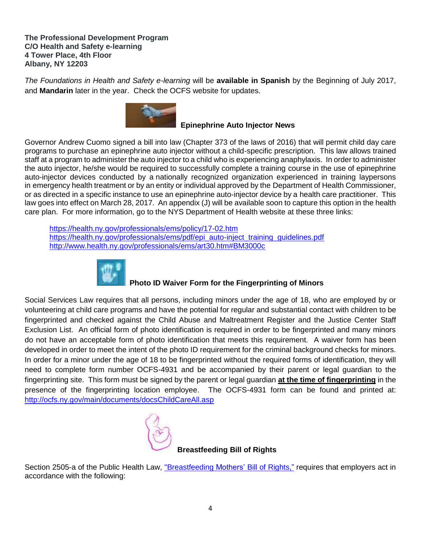**The Professional Development Program C/O Health and Safety e-learning 4 Tower Place, 4th Floor Albany, NY 12203**

*The Foundations in Health and Safety e-learning* will be **available in Spanish** by the Beginning of July 2017, and **Mandarin** later in the year. Check the OCFS website for updates.



 **Epinephrine Auto Injector News**

Governor Andrew Cuomo signed a bill into law (Chapter 373 of the laws of 2016) that will permit child day care programs to purchase an epinephrine auto injector without a child-specific prescription. This law allows trained staff at a program to administer the auto injector to a child who is experiencing anaphylaxis. In order to administer the auto injector, he/she would be required to successfully complete a training course in the use of epinephrine auto-injector devices conducted by a nationally recognized organization experienced in training laypersons in emergency health treatment or by an entity or individual approved by the Department of Health Commissioner, or as directed in a specific instance to use an epinephrine auto-injector device by a health care practitioner. This law goes into effect on March 28, 2017. An appendix (J) will be available soon to capture this option in the health care plan. For more information, go to the NYS Department of Health website at these three links:

<https://health.ny.gov/professionals/ems/policy/17-02.htm> [https://health.ny.gov/professionals/ems/pdf/epi\\_auto-inject\\_training\\_guidelines.pdf](https://health.ny.gov/professionals/ems/pdf/epi_auto-inject_training_guidelines.pdf)  <http://www.health.ny.gov/professionals/ems/art30.htm#BM3000c>



# **Photo ID Waiver Form for the Fingerprinting of Minors**

Social Services Law requires that all persons, including minors under the age of 18, who are employed by or volunteering at child care programs and have the potential for regular and substantial contact with children to be fingerprinted and checked against the Child Abuse and Maltreatment Register and the Justice Center Staff Exclusion List. An official form of photo identification is required in order to be fingerprinted and many minors do not have an acceptable form of photo identification that meets this requirement. A waiver form has been developed in order to meet the intent of the photo ID requirement for the criminal background checks for minors. In order for a minor under the age of 18 to be fingerprinted without the required forms of identification, they will need to complete form number OCFS-4931 and be accompanied by their parent or legal guardian to the fingerprinting site. This form must be signed by the parent or legal guardian **at the time of fingerprinting** in the presence of the fingerprinting location employee. The OCFS-4931 form can be found and printed at: <http://ocfs.ny.gov/main/documents/docsChildCareAll.asp>



Section 2505-a of the Public Health Law, ["Breastfeeding Mothers' Bill of Rights,](http://www.health.ny.gov/publications/2028.pdf)" requires that employers act in accordance with the following: